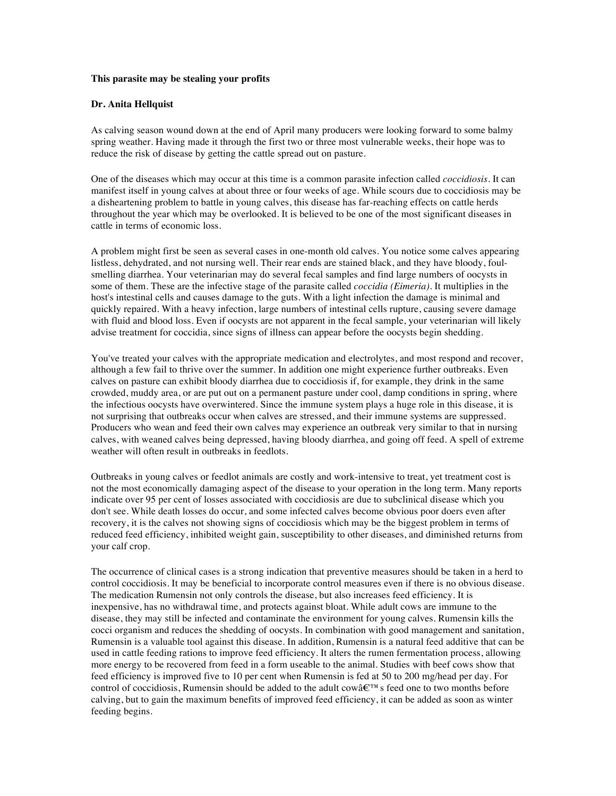## **This parasite may be stealing your profits**

## **Dr. Anita Hellquist**

As calving season wound down at the end of April many producers were looking forward to some balmy spring weather. Having made it through the first two or three most vulnerable weeks, their hope was to reduce the risk of disease by getting the cattle spread out on pasture.

One of the diseases which may occur at this time is a common parasite infection called *coccidiosis.* It can manifest itself in young calves at about three or four weeks of age. While scours due to coccidiosis may be a disheartening problem to battle in young calves, this disease has far-reaching effects on cattle herds throughout the year which may be overlooked. It is believed to be one of the most significant diseases in cattle in terms of economic loss.

A problem might first be seen as several cases in one-month old calves. You notice some calves appearing listless, dehydrated, and not nursing well. Their rear ends are stained black, and they have bloody, foulsmelling diarrhea. Your veterinarian may do several fecal samples and find large numbers of oocysts in some of them. These are the infective stage of the parasite called *coccidia (Eimeria).* It multiplies in the host's intestinal cells and causes damage to the guts. With a light infection the damage is minimal and quickly repaired. With a heavy infection, large numbers of intestinal cells rupture, causing severe damage with fluid and blood loss. Even if oocysts are not apparent in the fecal sample, your veterinarian will likely advise treatment for coccidia, since signs of illness can appear before the oocysts begin shedding.

You've treated your calves with the appropriate medication and electrolytes, and most respond and recover, although a few fail to thrive over the summer. In addition one might experience further outbreaks. Even calves on pasture can exhibit bloody diarrhea due to coccidiosis if, for example, they drink in the same crowded, muddy area, or are put out on a permanent pasture under cool, damp conditions in spring, where the infectious oocysts have overwintered. Since the immune system plays a huge role in this disease, it is not surprising that outbreaks occur when calves are stressed, and their immune systems are suppressed. Producers who wean and feed their own calves may experience an outbreak very similar to that in nursing calves, with weaned calves being depressed, having bloody diarrhea, and going off feed. A spell of extreme weather will often result in outbreaks in feedlots.

Outbreaks in young calves or feedlot animals are costly and work-intensive to treat, yet treatment cost is not the most economically damaging aspect of the disease to your operation in the long term. Many reports indicate over 95 per cent of losses associated with coccidiosis are due to subclinical disease which you don't see. While death losses do occur, and some infected calves become obvious poor doers even after recovery, it is the calves not showing signs of coccidiosis which may be the biggest problem in terms of reduced feed efficiency, inhibited weight gain, susceptibility to other diseases, and diminished returns from your calf crop.

The occurrence of clinical cases is a strong indication that preventive measures should be taken in a herd to control coccidiosis. It may be beneficial to incorporate control measures even if there is no obvious disease. The medication Rumensin not only controls the disease, but also increases feed efficiency. It is inexpensive, has no withdrawal time, and protects against bloat. While adult cows are immune to the disease, they may still be infected and contaminate the environment for young calves. Rumensin kills the cocci organism and reduces the shedding of oocysts. In combination with good management and sanitation, Rumensin is a valuable tool against this disease. In addition, Rumensin is a natural feed additive that can be used in cattle feeding rations to improve feed efficiency. It alters the rumen fermentation process, allowing more energy to be recovered from feed in a form useable to the animal. Studies with beef cows show that feed efficiency is improved five to 10 per cent when Rumensin is fed at 50 to 200 mg/head per day. For control of coccidiosis, Rumensin should be added to the adult cowâ€™s feed one to two months before calving, but to gain the maximum benefits of improved feed efficiency, it can be added as soon as winter feeding begins.